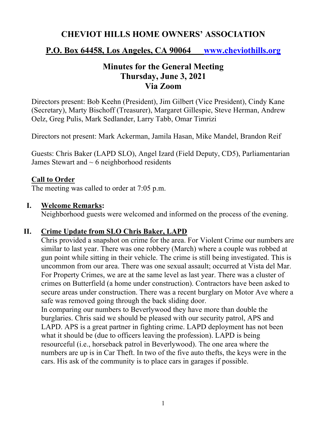# **CHEVIOT HILLS HOME OWNERS' ASSOCIATION**

## **P.O. Box 64458, Los Angeles, CA 90064 www.cheviothills.org**

# **Minutes for the General Meeting Thursday, June 3, 2021 Via Zoom**

Directors present: Bob Keehn (President), Jim Gilbert (Vice President), Cindy Kane (Secretary), Marty Bischoff (Treasurer), Margaret Gillespie, Steve Herman, Andrew Oelz, Greg Pulis, Mark Sedlander, Larry Tabb, Omar Timrizi

Directors not present: Mark Ackerman, Jamila Hasan, Mike Mandel, Brandon Reif

Guests: Chris Baker (LAPD SLO), Angel Izard (Field Deputy, CD5), Parliamentarian James Stewart and  $\sim$  6 neighborhood residents

#### **Call to Order**

The meeting was called to order at 7:05 p.m.

#### **I. Welcome Remarks:**

Neighborhood guests were welcomed and informed on the process of the evening.

### **II. Crime Update from SLO Chris Baker, LAPD**

Chris provided a snapshot on crime for the area. For Violent Crime our numbers are similar to last year. There was one robbery (March) where a couple was robbed at gun point while sitting in their vehicle. The crime is still being investigated. This is uncommon from our area. There was one sexual assault; occurred at Vista del Mar. For Property Crimes, we are at the same level as last year. There was a cluster of crimes on Butterfield (a home under construction). Contractors have been asked to secure areas under construction. There was a recent burglary on Motor Ave where a safe was removed going through the back sliding door.

In comparing our numbers to Beverlywood they have more than double the burglaries. Chris said we should be pleased with our security patrol, APS and LAPD. APS is a great partner in fighting crime. LAPD deployment has not been what it should be (due to officers leaving the profession). LAPD is being resourceful (i.e., horseback patrol in Beverlywood). The one area where the numbers are up is in Car Theft. In two of the five auto thefts, the keys were in the cars. His ask of the community is to place cars in garages if possible.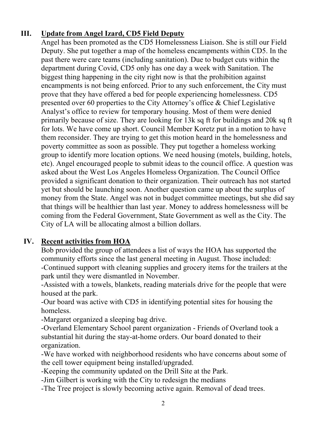## **III. Update from Angel Izard, CD5 Field Deputy**

Angel has been promoted as the CD5 Homelessness Liaison. She is still our Field Deputy. She put together a map of the homeless encampments within CD5. In the past there were care teams (including sanitation). Due to budget cuts within the department during Covid, CD5 only has one day a week with Sanitation. The biggest thing happening in the city right now is that the prohibition against encampments is not being enforced. Prior to any such enforcement, the City must prove that they have offered a bed for people experiencing homelessness. CD5 presented over 60 properties to the City Attorney's office & Chief Legislative Analyst's office to review for temporary housing. Most of them were denied primarily because of size. They are looking for 13k sq ft for buildings and 20k sq ft for lots. We have come up short. Council Member Koretz put in a motion to have them reconsider. They are trying to get this motion heard in the homelessness and poverty committee as soon as possible. They put together a homeless working group to identify more location options. We need housing (motels, building, hotels, etc). Angel encouraged people to submit ideas to the council office. A question was asked about the West Los Angeles Homeless Organization. The Council Office provided a significant donation to their organization. Their outreach has not started yet but should be launching soon. Another question came up about the surplus of money from the State. Angel was not in budget committee meetings, but she did say that things will be healthier than last year. Money to address homelessness will be coming from the Federal Government, State Government as well as the City. The City of LA will be allocating almost a billion dollars.

### **IV. Recent activities from HOA**

Bob provided the group of attendees a list of ways the HOA has supported the community efforts since the last general meeting in August. Those included: -Continued support with cleaning supplies and grocery items for the trailers at the park until they were dismantled in November.

-Assisted with a towels, blankets, reading materials drive for the people that were housed at the park.

-Our board was active with CD5 in identifying potential sites for housing the homeless.

-Margaret organized a sleeping bag drive.

-Overland Elementary School parent organization - Friends of Overland took a substantial hit during the stay-at-home orders. Our board donated to their organization.

-We have worked with neighborhood residents who have concerns about some of the cell tower equipment being installed/upgraded.

-Keeping the community updated on the Drill Site at the Park.

-Jim Gilbert is working with the City to redesign the medians

-The Tree project is slowly becoming active again. Removal of dead trees.